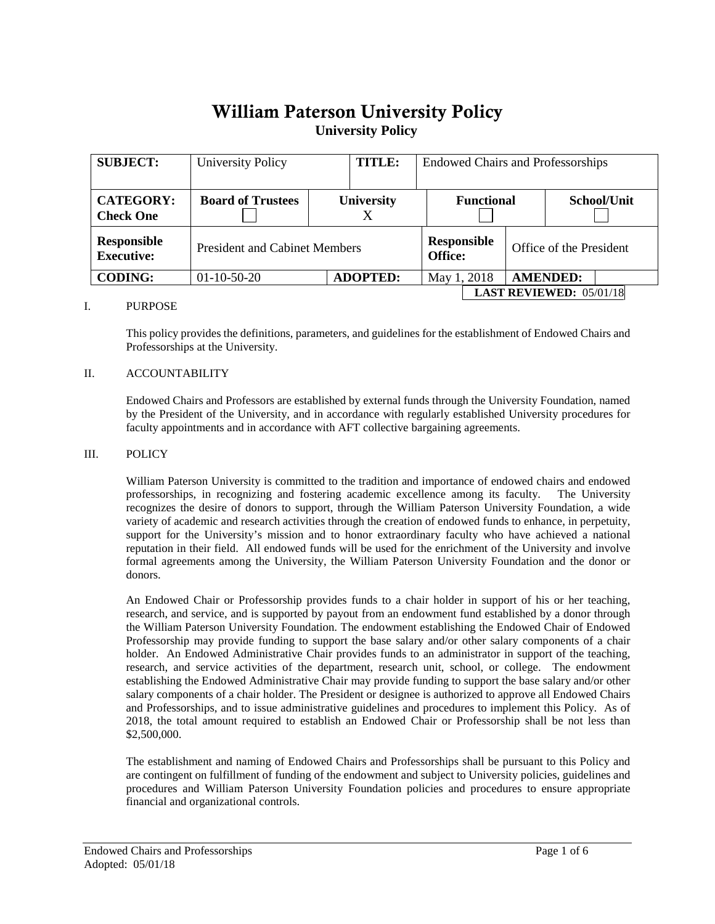# William Paterson University Policy**University Policy**

| <b>SUBJECT:</b>                      | <b>University Policy</b>             |  | TITLE:            |                                | <b>Endowed Chairs and Professorships</b> |                         |                 |             |  |
|--------------------------------------|--------------------------------------|--|-------------------|--------------------------------|------------------------------------------|-------------------------|-----------------|-------------|--|
| <b>CATEGORY:</b><br><b>Check One</b> | <b>Board of Trustees</b>             |  | <b>University</b> |                                | <b>Functional</b>                        |                         |                 | School/Unit |  |
| Responsible<br><b>Executive:</b>     | <b>President and Cabinet Members</b> |  |                   | <b>Responsible</b><br>Office:  |                                          | Office of the President |                 |             |  |
| <b>CODING:</b>                       | $01-10-50-20$                        |  | <b>ADOPTED:</b>   |                                | May 1, 2018                              |                         | <b>AMENDED:</b> |             |  |
|                                      |                                      |  |                   | <b>LAST REVIEWED: 05/01/18</b> |                                          |                         |                 |             |  |

#### I. PURPOSE

This policy provides the definitions, parameters, and guidelines for the establishment of Endowed Chairs and Professorships at the University.

#### II. ACCOUNTABILITY

Endowed Chairs and Professors are established by external funds through the University Foundation, named by the President of the University, and in accordance with regularly established University procedures for faculty appointments and in accordance with AFT collective bargaining agreements.

#### III. POLICY

William Paterson University is committed to the tradition and importance of endowed chairs and endowed professorships, in recognizing and fostering academic excellence among its faculty. The University recognizes the desire of donors to support, through the William Paterson University Foundation, a wide variety of academic and research activities through the creation of endowed funds to enhance, in perpetuity, support for the University's mission and to honor extraordinary faculty who have achieved a national reputation in their field. All endowed funds will be used for the enrichment of the University and involve formal agreements among the University, the William Paterson University Foundation and the donor or donors.

An Endowed Chair or Professorship provides funds to a chair holder in support of his or her teaching, research, and service, and is supported by payout from an endowment fund established by a donor through the William Paterson University Foundation. The endowment establishing the Endowed Chair of Endowed Professorship may provide funding to support the base salary and/or other salary components of a chair holder. An Endowed Administrative Chair provides funds to an administrator in support of the teaching, research, and service activities of the department, research unit, school, or college. The endowment establishing the Endowed Administrative Chair may provide funding to support the base salary and/or other salary components of a chair holder. The President or designee is authorized to approve all Endowed Chairs and Professorships, and to issue administrative guidelines and procedures to implement this Policy. As of 2018, the total amount required to establish an Endowed Chair or Professorship shall be not less than \$2,500,000.

The establishment and naming of Endowed Chairs and Professorships shall be pursuant to this Policy and are contingent on fulfillment of funding of the endowment and subject to University policies, guidelines and procedures and William Paterson University Foundation policies and procedures to ensure appropriate financial and organizational controls.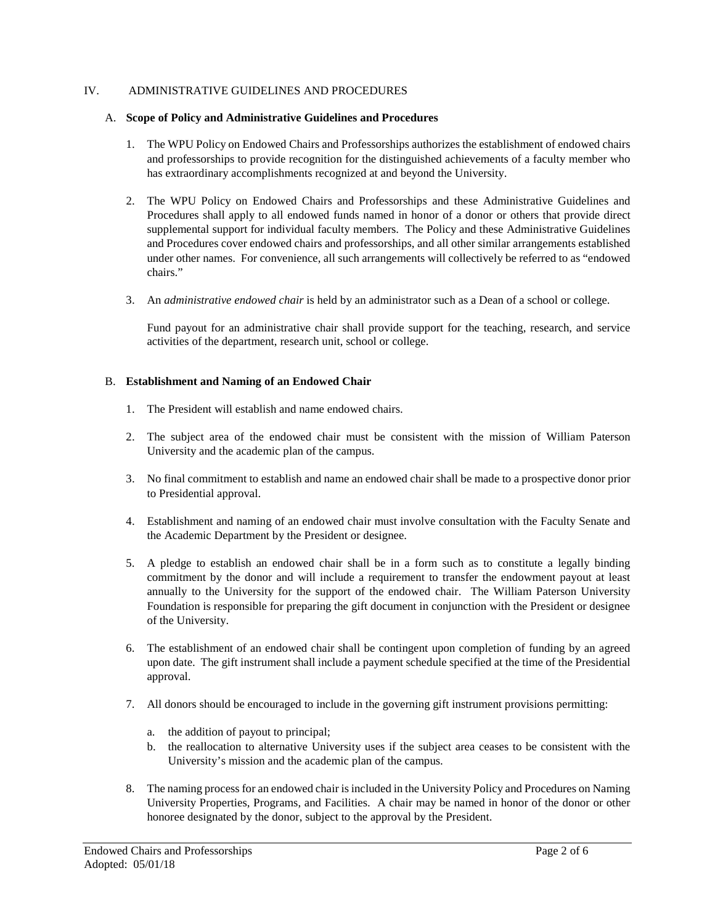## IV. ADMINISTRATIVE GUIDELINES AND PROCEDURES

## A. **Scope of Policy and Administrative Guidelines and Procedures**

- 1. The WPU Policy on Endowed Chairs and Professorships authorizes the establishment of endowed chairs and professorships to provide recognition for the distinguished achievements of a faculty member who has extraordinary accomplishments recognized at and beyond the University.
- 2. The WPU Policy on Endowed Chairs and Professorships and these Administrative Guidelines and Procedures shall apply to all endowed funds named in honor of a donor or others that provide direct supplemental support for individual faculty members. The Policy and these Administrative Guidelines and Procedures cover endowed chairs and professorships, and all other similar arrangements established under other names. For convenience, all such arrangements will collectively be referred to as "endowed chairs."
- 3. An *administrative endowed chair* is held by an administrator such as a Dean of a school or college.

Fund payout for an administrative chair shall provide support for the teaching, research, and service activities of the department, research unit, school or college.

## B. **Establishment and Naming of an Endowed Chair**

- 1. The President will establish and name endowed chairs.
- 2. The subject area of the endowed chair must be consistent with the mission of William Paterson University and the academic plan of the campus.
- 3. No final commitment to establish and name an endowed chair shall be made to a prospective donor prior to Presidential approval.
- 4. Establishment and naming of an endowed chair must involve consultation with the Faculty Senate and the Academic Department by the President or designee.
- 5. A pledge to establish an endowed chair shall be in a form such as to constitute a legally binding commitment by the donor and will include a requirement to transfer the endowment payout at least annually to the University for the support of the endowed chair. The William Paterson University Foundation is responsible for preparing the gift document in conjunction with the President or designee of the University.
- 6. The establishment of an endowed chair shall be contingent upon completion of funding by an agreed upon date. The gift instrument shall include a payment schedule specified at the time of the Presidential approval.
- 7. All donors should be encouraged to include in the governing gift instrument provisions permitting:
	- a. the addition of payout to principal;
	- b. the reallocation to alternative University uses if the subject area ceases to be consistent with the University's mission and the academic plan of the campus.
- 8. The naming process for an endowed chair is included in the University Policy and Procedures on Naming University Properties, Programs, and Facilities. A chair may be named in honor of the donor or other honoree designated by the donor, subject to the approval by the President.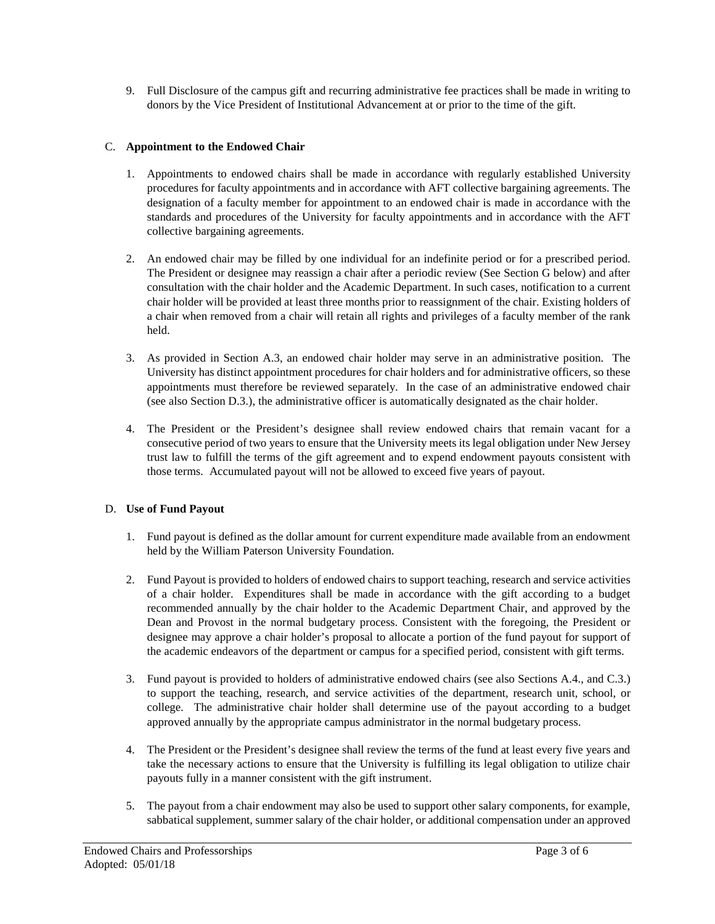9. Full Disclosure of the campus gift and recurring administrative fee practices shall be made in writing to donors by the Vice President of Institutional Advancement at or prior to the time of the gift.

## C. **Appointment to the Endowed Chair**

- 1. Appointments to endowed chairs shall be made in accordance with regularly established University procedures for faculty appointments and in accordance with AFT collective bargaining agreements. The designation of a faculty member for appointment to an endowed chair is made in accordance with the standards and procedures of the University for faculty appointments and in accordance with the AFT collective bargaining agreements.
- 2. An endowed chair may be filled by one individual for an indefinite period or for a prescribed period. The President or designee may reassign a chair after a periodic review (See Section G below) and after consultation with the chair holder and the Academic Department. In such cases, notification to a current chair holder will be provided at least three months prior to reassignment of the chair. Existing holders of a chair when removed from a chair will retain all rights and privileges of a faculty member of the rank held.
- 3. As provided in Section A.3, an endowed chair holder may serve in an administrative position. The University has distinct appointment procedures for chair holders and for administrative officers, so these appointments must therefore be reviewed separately. In the case of an administrative endowed chair (see also Section D.3.), the administrative officer is automatically designated as the chair holder.
- 4. The President or the President's designee shall review endowed chairs that remain vacant for a consecutive period of two years to ensure that the University meets its legal obligation under New Jersey trust law to fulfill the terms of the gift agreement and to expend endowment payouts consistent with those terms. Accumulated payout will not be allowed to exceed five years of payout.

# D. **Use of Fund Payout**

- 1. Fund payout is defined as the dollar amount for current expenditure made available from an endowment held by the William Paterson University Foundation.
- 2. Fund Payout is provided to holders of endowed chairs to support teaching, research and service activities of a chair holder. Expenditures shall be made in accordance with the gift according to a budget recommended annually by the chair holder to the Academic Department Chair, and approved by the Dean and Provost in the normal budgetary process. Consistent with the foregoing, the President or designee may approve a chair holder's proposal to allocate a portion of the fund payout for support of the academic endeavors of the department or campus for a specified period, consistent with gift terms.
- 3. Fund payout is provided to holders of administrative endowed chairs (see also Sections A.4., and C.3.) to support the teaching, research, and service activities of the department, research unit, school, or college. The administrative chair holder shall determine use of the payout according to a budget approved annually by the appropriate campus administrator in the normal budgetary process.
- 4. The President or the President's designee shall review the terms of the fund at least every five years and take the necessary actions to ensure that the University is fulfilling its legal obligation to utilize chair payouts fully in a manner consistent with the gift instrument.
- 5. The payout from a chair endowment may also be used to support other salary components, for example, sabbatical supplement, summer salary of the chair holder, or additional compensation under an approved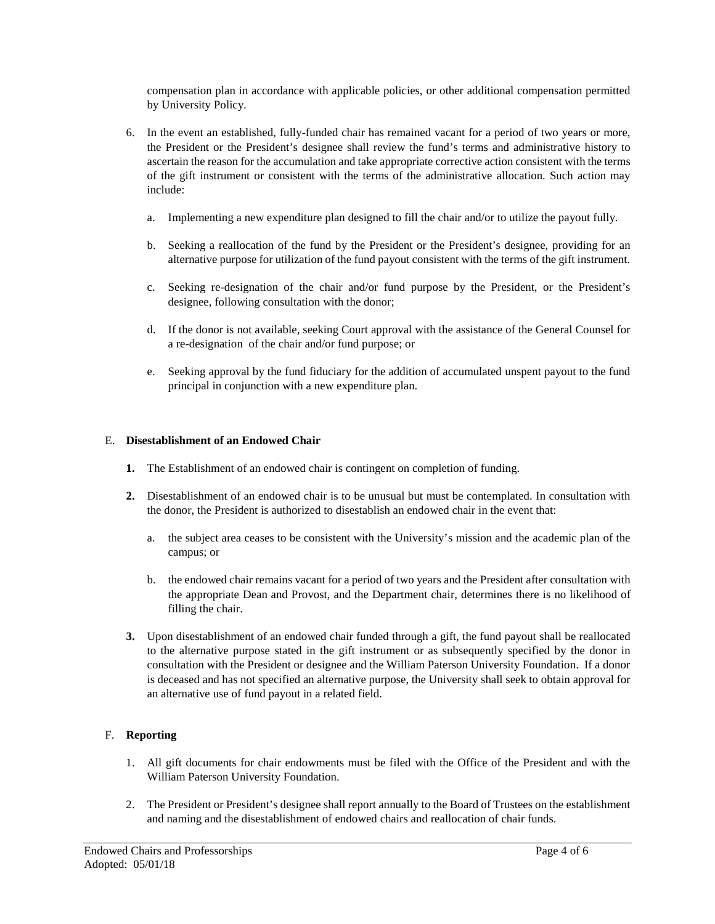compensation plan in accordance with applicable policies, or other additional compensation permitted by University Policy.

- 6. In the event an established, fully-funded chair has remained vacant for a period of two years or more, the President or the President's designee shall review the fund's terms and administrative history to ascertain the reason for the accumulation and take appropriate corrective action consistent with the terms of the gift instrument or consistent with the terms of the administrative allocation. Such action may include:
	- a. Implementing a new expenditure plan designed to fill the chair and/or to utilize the payout fully.
	- b. Seeking a reallocation of the fund by the President or the President's designee, providing for an alternative purpose for utilization of the fund payout consistent with the terms of the gift instrument.
	- c. Seeking re-designation of the chair and/or fund purpose by the President, or the President's designee, following consultation with the donor;
	- d. If the donor is not available, seeking Court approval with the assistance of the General Counsel for a re-designation of the chair and/or fund purpose; or
	- e. Seeking approval by the fund fiduciary for the addition of accumulated unspent payout to the fund principal in conjunction with a new expenditure plan.

# E. **Disestablishment of an Endowed Chair**

- **1.** The Establishment of an endowed chair is contingent on completion of funding.
- **2.** Disestablishment of an endowed chair is to be unusual but must be contemplated. In consultation with the donor, the President is authorized to disestablish an endowed chair in the event that:
	- a. the subject area ceases to be consistent with the University's mission and the academic plan of the campus; or
	- b. the endowed chair remains vacant for a period of two years and the President after consultation with the appropriate Dean and Provost, and the Department chair, determines there is no likelihood of filling the chair.
- **3.** Upon disestablishment of an endowed chair funded through a gift, the fund payout shall be reallocated to the alternative purpose stated in the gift instrument or as subsequently specified by the donor in consultation with the President or designee and the William Paterson University Foundation. If a donor is deceased and has not specified an alternative purpose, the University shall seek to obtain approval for an alternative use of fund payout in a related field.

## F. **Reporting**

- 1. All gift documents for chair endowments must be filed with the Office of the President and with the William Paterson University Foundation.
- 2. The President or President's designee shall report annually to the Board of Trustees on the establishment and naming and the disestablishment of endowed chairs and reallocation of chair funds.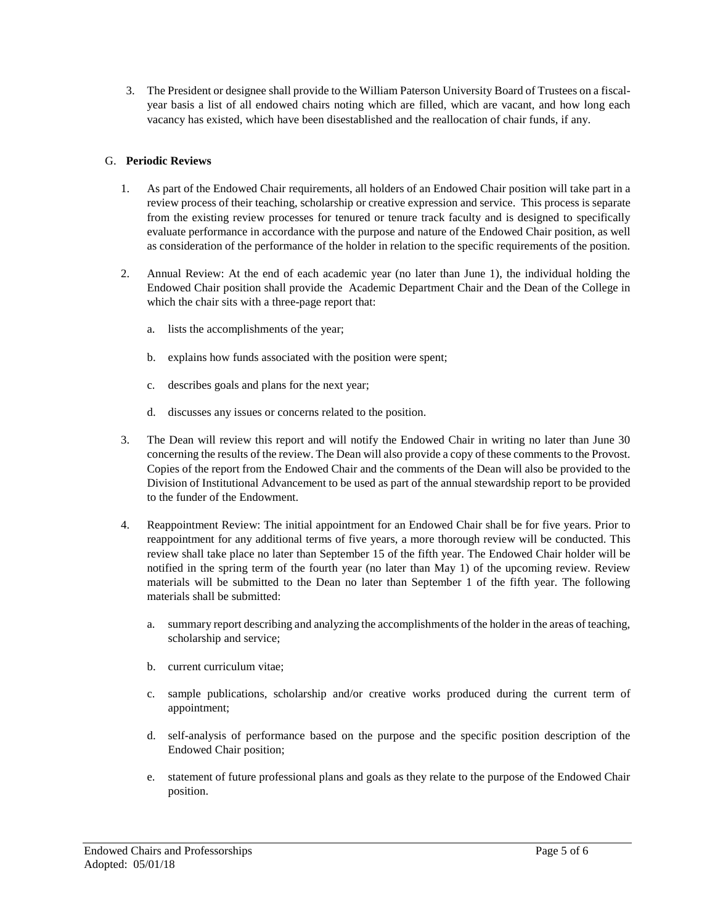3. The President or designee shall provide to the William Paterson University Board of Trustees on a fiscalyear basis a list of all endowed chairs noting which are filled, which are vacant, and how long each vacancy has existed, which have been disestablished and the reallocation of chair funds, if any.

# G. **Periodic Reviews**

- 1. As part of the Endowed Chair requirements, all holders of an Endowed Chair position will take part in a review process of their teaching, scholarship or creative expression and service. This process is separate from the existing review processes for tenured or tenure track faculty and is designed to specifically evaluate performance in accordance with the purpose and nature of the Endowed Chair position, as well as consideration of the performance of the holder in relation to the specific requirements of the position.
- 2. Annual Review: At the end of each academic year (no later than June 1), the individual holding the Endowed Chair position shall provide the Academic Department Chair and the Dean of the College in which the chair sits with a three-page report that:
	- a. lists the accomplishments of the year;
	- b. explains how funds associated with the position were spent;
	- c. describes goals and plans for the next year;
	- d. discusses any issues or concerns related to the position.
- 3. The Dean will review this report and will notify the Endowed Chair in writing no later than June 30 concerning the results of the review. The Dean will also provide a copy of these comments to the Provost. Copies of the report from the Endowed Chair and the comments of the Dean will also be provided to the Division of Institutional Advancement to be used as part of the annual stewardship report to be provided to the funder of the Endowment.
- 4. Reappointment Review: The initial appointment for an Endowed Chair shall be for five years. Prior to reappointment for any additional terms of five years, a more thorough review will be conducted. This review shall take place no later than September 15 of the fifth year. The Endowed Chair holder will be notified in the spring term of the fourth year (no later than May 1) of the upcoming review. Review materials will be submitted to the Dean no later than September 1 of the fifth year. The following materials shall be submitted:
	- a. summary report describing and analyzing the accomplishments of the holder in the areas of teaching, scholarship and service;
	- b. current curriculum vitae;
	- c. sample publications, scholarship and/or creative works produced during the current term of appointment;
	- d. self-analysis of performance based on the purpose and the specific position description of the Endowed Chair position;
	- e. statement of future professional plans and goals as they relate to the purpose of the Endowed Chair position.